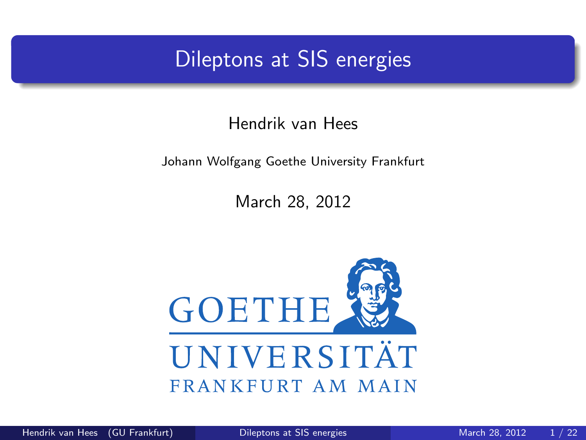### Dileptons at SIS energies

#### Hendrik van Hees

#### Johann Wolfgang Goethe University Frankfurt

<span id="page-0-0"></span>March 28, 2012

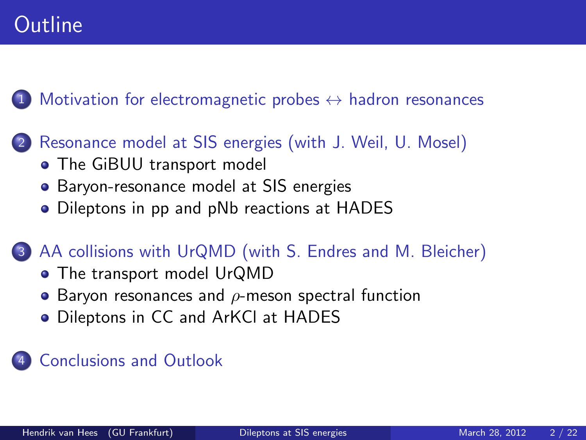# **Outline**

[Motivation for electromagnetic probes](#page-2-0)  $\leftrightarrow$  hadron resonances

- 2 [Resonance model at SIS energies \(with J. Weil, U. Mosel\)](#page-4-0)
	- [The GiBUU transport model](#page-4-0)
	- [Baryon-resonance model at SIS energies](#page-6-0)
	- [Dileptons in pp and pNb reactions at HADES](#page-10-0)

#### [AA collisions with UrQMD \(with S. Endres and M. Bleicher\)](#page-18-0)

- [The transport model UrQMD](#page-18-0)
- $\bullet$  Baryon resonances and  $\rho$ [-meson spectral function](#page-19-0)
- [Dileptons in CC and ArKCl at HADES](#page-20-0)

#### 4 [Conclusions and Outlook](#page-21-0)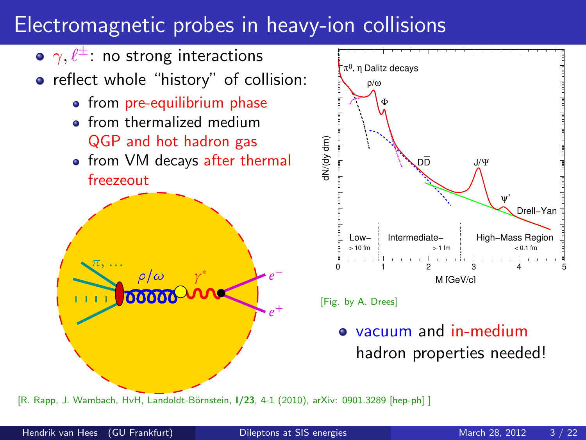# Electromagnetic probes in heavy-ion collisions



<span id="page-2-0"></span>[R. Rapp, J. Wambach, HvH, Landoldt-Börnstein, J/23, 4-1 (2010), arXiv: 0901.3289 [hep-ph] ]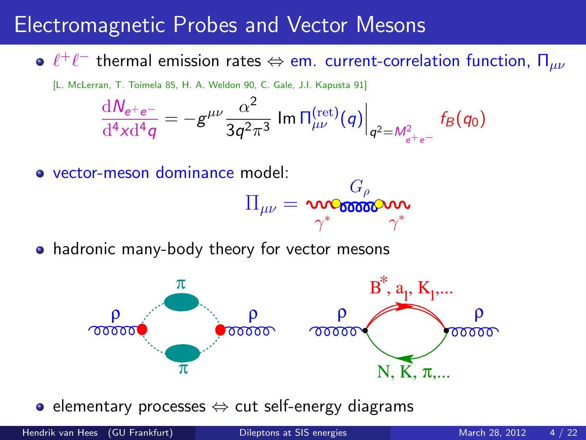### Electromagnetic Probes and Vector Mesons

 $\ell^+\ell^-$  thermal emission rates  $\Leftrightarrow$  em. current-correlation function,  $\Pi_{\mu\nu}$ 

[L. McLerran, T. Toimela 85, H. A. Weldon 90, C. Gale, J.I. Kapusta 91]

$$
\frac{dN_{e^+e^-}}{d^4x d^4q} = -g^{\mu\nu}\frac{\alpha^2}{3q^2\pi^3} \, \text{Im} \, \Pi_{\mu\nu}^{\text{(ret)}}(q) \Big|_{q^2 = M_{e^+e^-}^2} f_B(q_0)
$$

vector-meson dominance model:

$$
\Pi_{\mu\nu} = \text{mod} \mathcal{F}_{\rho}^{\mathbf{G}_{\rho}} \text{mod} \mathcal{F}_{\gamma^*}
$$

 $\curvearrowright$ 

• hadronic many-body theory for vector mesons



• elementary processes ⇔ cut self-energy diagrams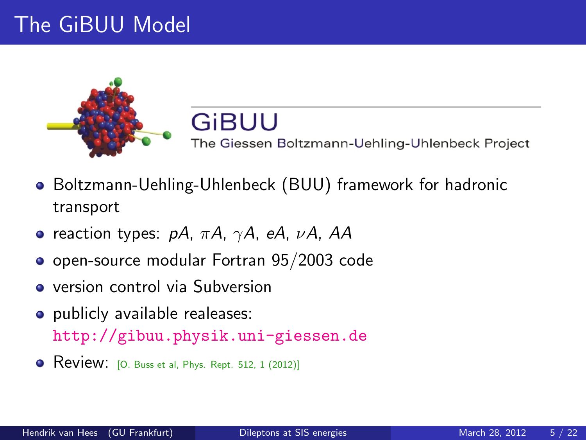# The GiBUU Model



#### <span id="page-4-0"></span>GIBUU The Giessen Boltzmann-Uehling-Uhlenbeck Project

- Boltzmann-Uehling-Uhlenbeck (BUU) framework for hadronic transport
- reaction types:  $pA$ ,  $\pi A$ ,  $\gamma A$ , eA,  $\nu A$ , AA
- open-source modular Fortran 95/2003 code
- **•** version control via Subversion
- publicly available realeases: <http://gibuu.physik.uni-giessen.de>
- Review: [O. Buss et al, Phys. Rept. 512, 1 (2012)]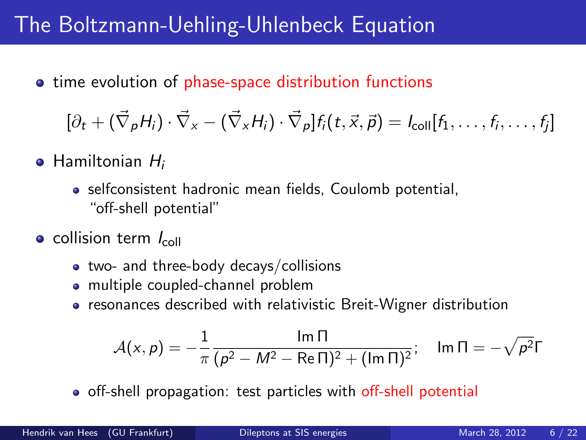## The Boltzmann-Uehling-Uhlenbeck Equation

**•** time evolution of phase-space distribution functions

$$
[\partial_t + (\vec{\nabla}_{\rho} H_i) \cdot \vec{\nabla}_{\mathsf{x}} - (\vec{\nabla}_{\mathsf{x}} H_i) \cdot \vec{\nabla}_{\rho}] f_i(t, \vec{\mathsf{x}}, \vec{\rho}) = I_{\text{coll}}[f_1, \ldots, f_i, \ldots, f_j]
$$

- $\bullet$  Hamiltonian  $H_i$ 
	- selfconsistent hadronic mean fields, Coulomb potential, "off-shell potential"
- $\bullet$  collision term  $I_{\text{coll}}$ 
	- two- and three-body decays/collisions
	- multiple coupled-channel problem
	- resonances described with relativistic Breit-Wigner distribution

$$
\mathcal{A}(x, p) = -\frac{1}{\pi} \frac{\ln \Pi}{(p^2 - M^2 - \text{Re}\,\Pi)^2 + (\ln \Pi)^2}; \quad \ln \Pi = -\sqrt{p^2}\Gamma
$$

off-shell propagation: test particles with off-shell potential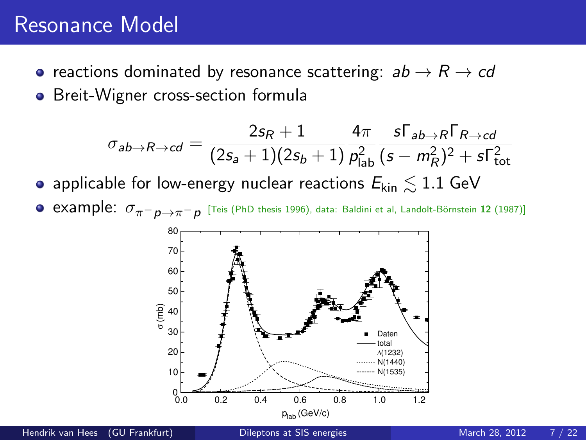#### Resonance Model

- reactions dominated by resonance scattering:  $ab \rightarrow R \rightarrow cd$
- Breit-Wigner cross-section formula

$$
\sigma_{ab\rightarrow R\rightarrow cd} = \frac{2s_R+1}{(2s_a+1)(2s_b+1)} \frac{4\pi}{\rho_{\text{lab}}^2} \frac{s\Gamma_{ab\rightarrow R}\Gamma_{R\rightarrow cd}}{(s-m_R^2)^2+s\Gamma_{\text{tot}}^2}
$$

- applicable for low-energy nuclear reactions  $E_{kin} \lesssim 1.1$  GeV
- $\mathsf{example}\colon\, \sigma_{\pi^-\rho\to\pi^-\rho}$  [Teis (PhD thesis 1996), data: Baldini et al, Landolt-Börnstein 12 (1987)]

<span id="page-6-0"></span>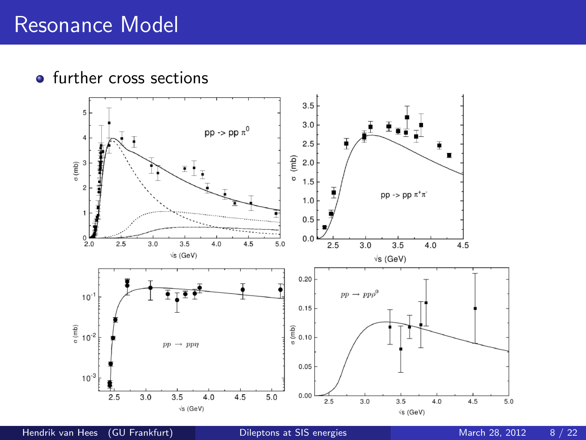• further cross sections



Hendrik van Hees (GU Frankfurt) [Dileptons at SIS energies](#page-0-0) March 28, 2012 8/22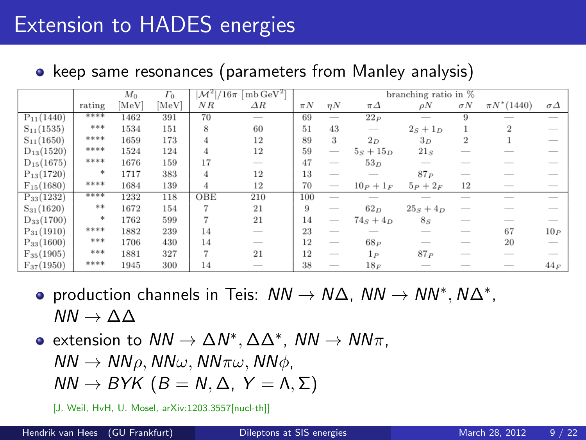# Extension to HADES energies

• keep same resonances (parameters from Manley analysis)

|                |        | $ \mathcal{M}^2 /16\pi \;[\, \text{mb}\, \text{GeV}^2]$<br>$\Gamma_0$<br>$M_0$ |       |                        | branching ratio in $%$   |         |                          |                                 |                          |                          |                 |                |
|----------------|--------|--------------------------------------------------------------------------------|-------|------------------------|--------------------------|---------|--------------------------|---------------------------------|--------------------------|--------------------------|-----------------|----------------|
|                | rating | [MeV]                                                                          | [MeV] | ΝR                     | $\Delta R$               | $\pi N$ | $\eta N$                 | $\pi\Delta$                     | $\rho N$                 | $\sigma N$               | $\pi N^*(1440)$ | $\sigma\Delta$ |
| $P_{11}(1440)$ | ****   | 1462                                                                           | 391   | 70                     | $\frac{1}{2}$            | 69      | $\overline{\phantom{a}}$ | 22P                             | $\overline{\phantom{a}}$ | 9                        | $\frac{1}{2}$   | $\frac{1}{2}$  |
| $S_{11}(1535)$ | ***    | 1534                                                                           | 151   | 8                      | 60                       | 51      | 43                       | $\hspace{0.1mm}-\hspace{0.1mm}$ | $2_S + 1_D$              |                          | $\overline{2}$  |                |
| $S_{11}(1650)$ | ****   | 1659                                                                           | 173   | $\boldsymbol{\Lambda}$ | 12                       | 89      | 3                        | $2_D$                           | 3D                       | $\overline{2}$           |                 |                |
| $D_{13}(1520)$ | ****   | 1524                                                                           | 124   | 4                      | 12                       | 59      | $\overline{\phantom{a}}$ | $5s + 15p$                      | $21_S$                   |                          |                 |                |
| $D_{15}(1675)$ | ****   | 1676                                                                           | 159   | 17                     | $\frac{1}{2}$            | 47      | $\frac{1}{2}$            | $53_D$                          | $\frac{1}{2}$            |                          |                 |                |
| $P_{13}(1720)$ | $*$    | 1717                                                                           | 383   | $\boldsymbol{\Lambda}$ | 12                       | 13      | $\frac{1}{2}$            | $\sim$                          | 87P                      |                          |                 |                |
| $F_{15}(1680)$ | ****   | 1684                                                                           | 139   | 4                      | 12                       | 70      | $\overline{\phantom{a}}$ | $10_P + 1_F$                    | $5_P + 2_F$              | 12                       | _               |                |
| $P_{33}(1232)$ | ****   | 1232                                                                           | 118   | OBE                    | 210                      | 100     | $\frac{1}{2}$            |                                 |                          |                          |                 | -              |
| $S_{31}(1620)$ | **     | 1672                                                                           | 154   | 7                      | 21                       | 9       | $\frac{1}{2}$            | $62_D$                          | $25s + 4D$               |                          |                 |                |
| $D_{33}(1700)$ | $*$    | 1762                                                                           | 599   | 7                      | 21                       | 14      | $\frac{1}{2}$            | $74_S + 4_D$                    | $8_{S}$                  |                          |                 |                |
| $P_{31}(1910)$ | ****   | 1882                                                                           | 239   | 14                     | -                        | 23      | $\overline{\phantom{a}}$ | __                              | $\frac{1}{2}$            | $\frac{1}{2}$            | 67              | $10_P$         |
| $P_{33}(1600)$ | ***    | 1706                                                                           | 430   | 14                     | $\overline{\phantom{a}}$ | 12      | $\frac{1}{2}$            | 68P                             | $-$                      | __                       | 20              |                |
| $F_{35}(1905)$ | ***    | 1881                                                                           | 327   | 7                      | 21                       | 12      | $\frac{1}{2}$            | $1_P$                           | 87P                      | $\overline{\phantom{a}}$ |                 |                |
| $F_{37}(1950)$ | ****   | 1945                                                                           | 300   | 14                     | $\overline{\phantom{a}}$ | 38      | $\frac{1}{2}$            | $18_F$                          |                          |                          |                 | $44_F$         |

- production channels in Teis:  $NN \rightarrow N\Delta$ ,  $NN \rightarrow NN^*$ ,  $N\Delta^*$ ,  $NN \rightarrow \Delta \Delta$
- extension to  $NN \to \Delta N^*$ ,  $\Delta \Delta^*$ ,  $NN \to NN\pi$ ,
	- $NN \rightarrow NN \rho$ ,  $NN \omega$ ,  $NN \pi \omega$ ,  $NN \phi$ ,
	- $NN \rightarrow BYK$   $(B = N, \Delta, Y = \Lambda, \Sigma)$
	- [J. Weil, HvH, U. Mosel, arXiv:1203.3557[nucl-th]]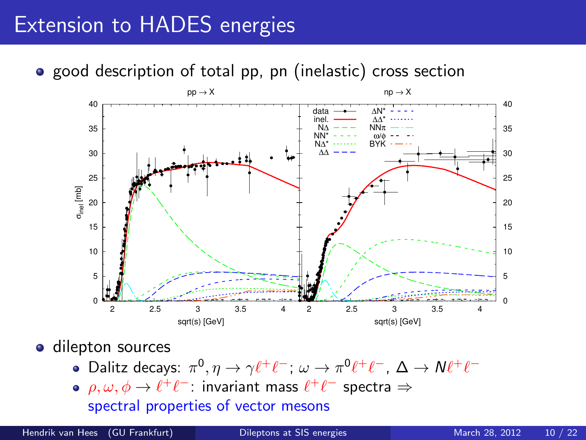# Extension to HADES energies

• good description of total pp, pn (inelastic) cross section



**o** dilepton sources

- Dalitz decays:  $\pi^0$ ,  $\eta \to \gamma \ell^+ \ell^-$ ;  $\omega \to \pi^0 \ell^+ \ell^-$ ,  $\Delta \to N \ell^+ \ell^-$
- $\rho, \omega, \phi \rightarrow \ell^+ \ell^-$ : invariant mass  $\ell^+ \ell^-$  spectra  $\Rightarrow$ spectral properties of vector mesons

Hendrik van Hees (GU Frankfurt) [Dileptons at SIS energies](#page-0-0) March 28, 2012 10 / 22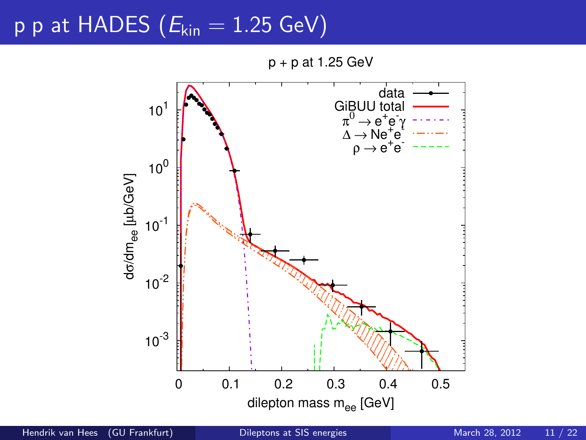### p p at HADES ( $E_{kin} = 1.25$  GeV)

<span id="page-10-0"></span>p + p at 1.25 GeV



Hendrik van Hees (GU Frankfurt) [Dileptons at SIS energies](#page-0-0) March 28, 2012 11 / 22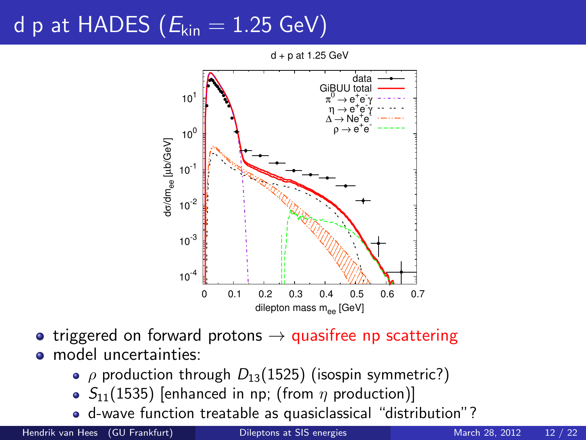# d p at HADES ( $E_{kin} = 1.25$  GeV)



 $d + p$  at 1.25 GeV

- triggered on forward protons  $\rightarrow$  quasifree np scattering **o** model uncertainties:
	- $\rho$  production through  $D_{13}(1525)$  (isospin symmetric?)
	- $\bullet$  S<sub>11</sub>(1535) [enhanced in np; (from  $\eta$  production)]
	- d-wave function treatable as quasiclassical "distribution"?

Hendrik van Hees (GU Frankfurt) [Dileptons at SIS energies](#page-0-0) March 28, 2012 12 / 22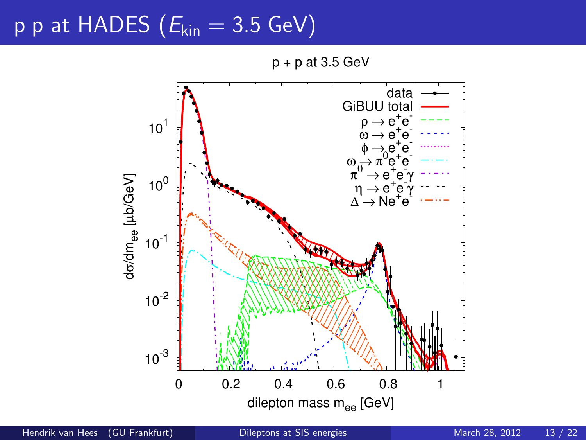# p p at HADES  $(E_{kin} = 3.5 \text{ GeV})$

 $p + p$  at 3.5 GeV



Hendrik van Hees (GU Frankfurt) [Dileptons at SIS energies](#page-0-0) March 28, 2012 13 / 22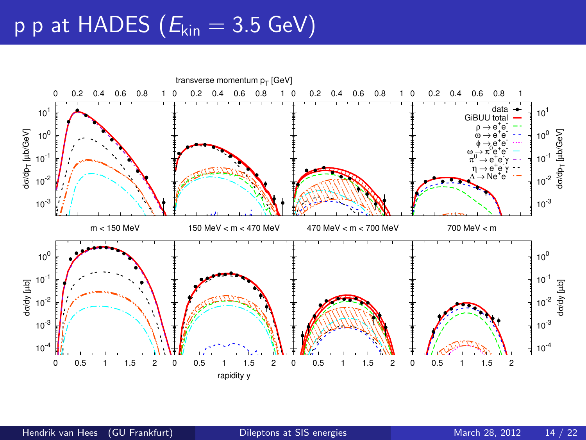# p p at HADES ( $E_{kin} = 3.5$  GeV)

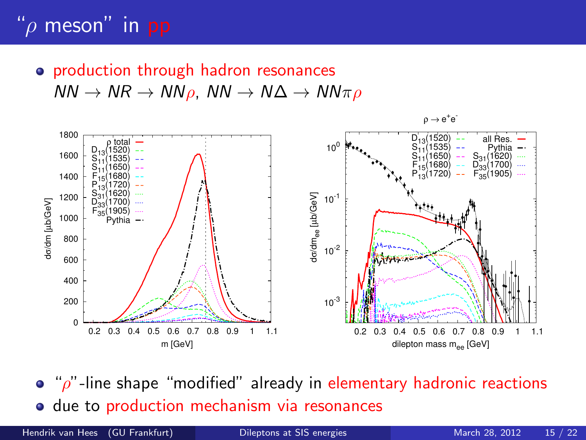# " $\rho$  meson" in pp

• production through hadron resonances  $NN \to NR \to NN \rho$ ,  $NN \to N\Delta \to NN \pi \rho$ 



 $\bullet$  " $\rho$ "-line shape "modified" already in elementary hadronic reactions **o** due to production mechanism via resonances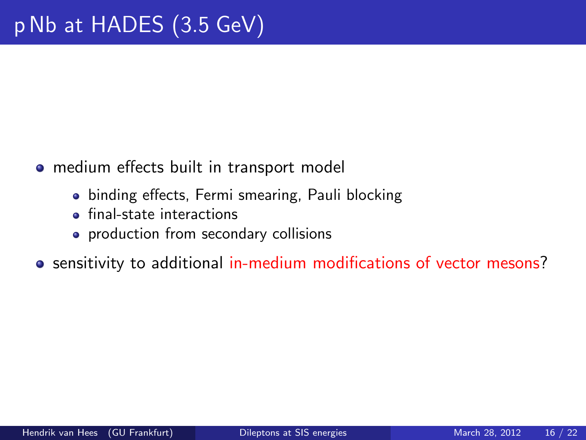- medium effects built in transport model
	- binding effects, Fermi smearing, Pauli blocking
	- **o** final-state interactions
	- production from secondary collisions
- o sensitivity to additional in-medium modifications of vector mesons?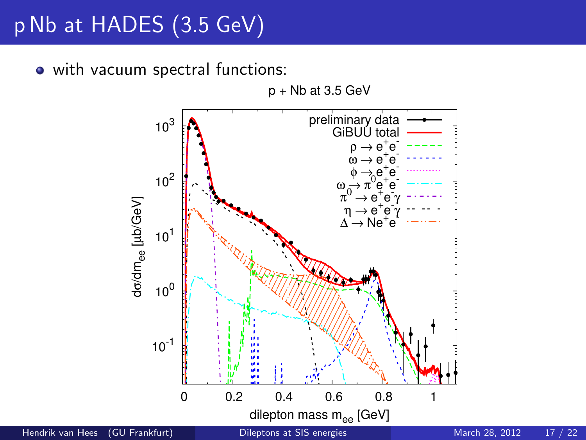# p Nb at HADES (3.5 GeV)

• with vacuum spectral functions:



Hendrik van Hees (GU Frankfurt) [Dileptons at SIS energies](#page-0-0) March 28, 2012 17 / 22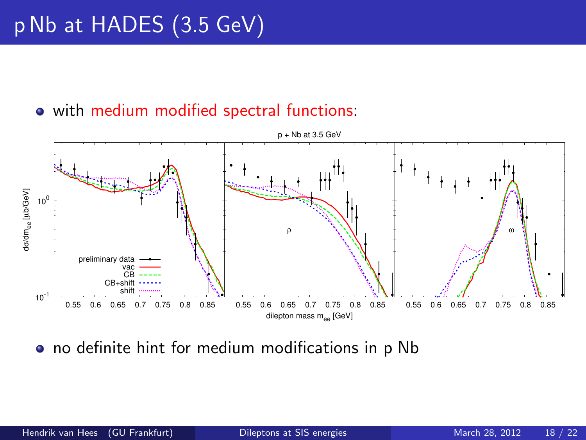# p Nb at HADES (3.5 GeV)

#### • with medium modified spectral functions:



**•** no definite hint for medium modifications in p Nb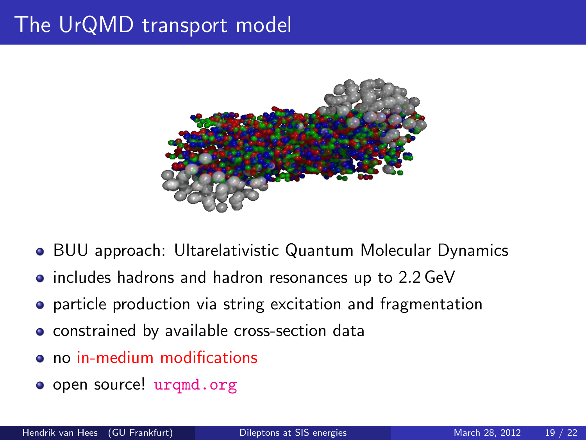## The UrQMD transport model



- BUU approach: Ultarelativistic Quantum Molecular Dynamics
- includes hadrons and hadron resonances up to 2.2 GeV
- **•** particle production via string excitation and fragmentation
- **•** constrained by available cross-section data
- no in-medium modifications
- <span id="page-18-0"></span>o open source! [urqmd.org](http://urqmd.org)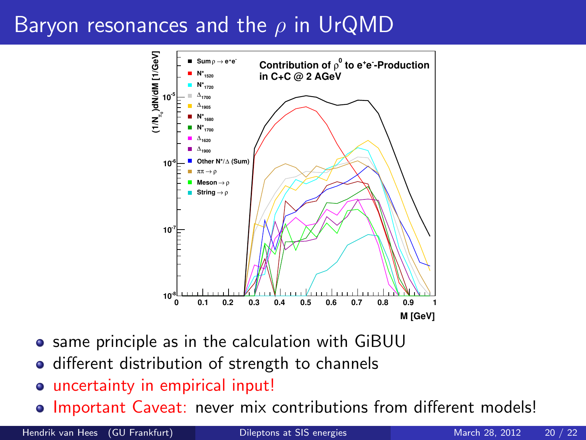# Baryon resonances and the  $\rho$  in UrQMD



- **•** same principle as in the calculation with GiBUU
- different distribution of strength to channels
- uncertainty in empirical input!
- $\bullet$  Important Caveat: never mix contributions from different models!

Hendrik van Hees (GU Frankfurt) [Dileptons at SIS energies](#page-0-0) March 28, 2012 20 / 22

<span id="page-19-0"></span>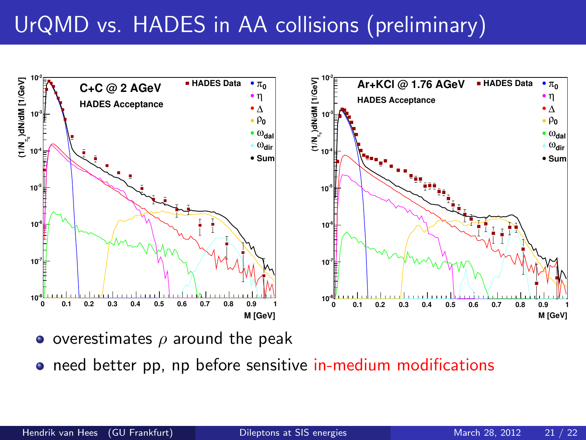# UrQMD vs. HADES in AA collisions (preliminary)



- overestimates  $\rho$  around the peak
- <span id="page-20-0"></span>o need better pp, np before sensitive in-medium modifications